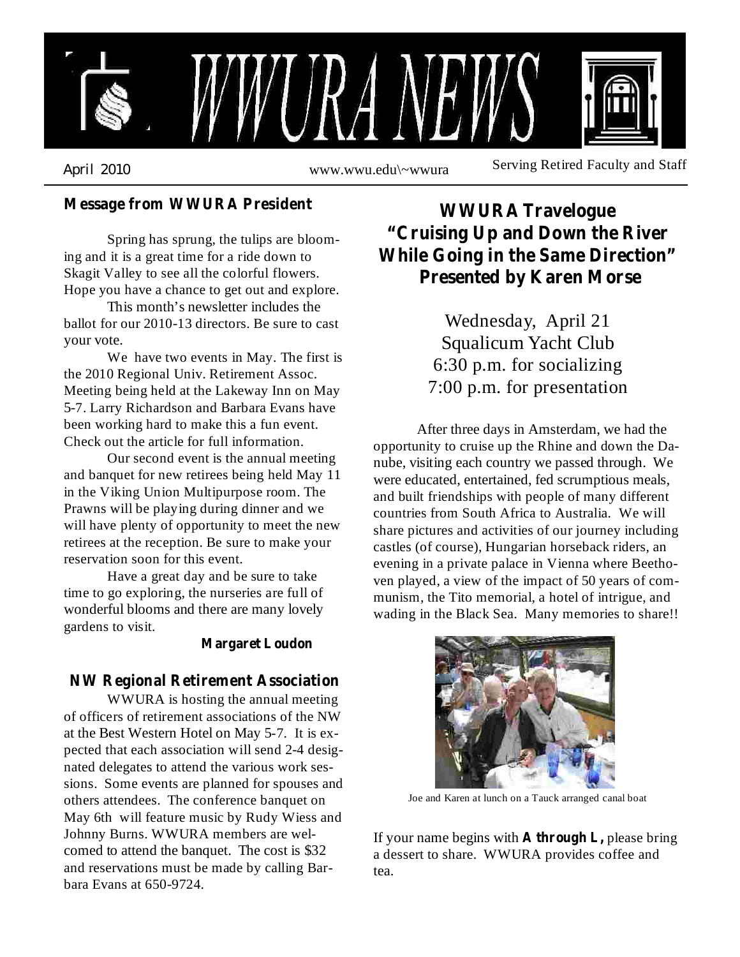

**Message from WWURA President**

Spring has sprung, the tulips are blooming and it is a great time for a ride down to Skagit Valley to see all the colorful flowers. Hope you have a chance to get out and explore.

This month's newsletter includes the ballot for our 2010-13 directors. Be sure to cast your vote.

We have two events in May. The first is the 2010 Regional Univ. Retirement Assoc. Meeting being held at the Lakeway Inn on May 5-7. Larry Richardson and Barbara Evans have been working hard to make this a fun event. Check out the article for full information.

Our second event is the annual meeting and banquet for new retirees being held May 11 in the Viking Union Multipurpose room. The Prawns will be playing during dinner and we will have plenty of opportunity to meet the new retirees at the reception. Be sure to make your reservation soon for this event.

Have a great day and be sure to take time to go exploring, the nurseries are full of wonderful blooms and there are many lovely gardens to visit.

#### **Margaret Loudon**

#### **NW Regional Retirement Association**

WWURA is hosting the annual meeting of officers of retirement associations of the NW at the Best Western Hotel on May 5-7. It is expected that each association will send 2-4 designated delegates to attend the various work sessions. Some events are planned for spouses and others attendees. The conference banquet on May 6th will feature music by Rudy Wiess and Johnny Burns. WWURA members are welcomed to attend the banquet. The cost is \$32 and reservations must be made by calling Barbara Evans at 650-9724.

## **WWURA Travelogue "Cruising Up and Down the River While Going in the Same Direction" Presented by Karen Morse**

Wednesday, April 21 Squalicum Yacht Club 6:30 p.m. for socializing 7:00 p.m. for presentation

After three days in Amsterdam, we had the opportunity to cruise up the Rhine and down the Danube, visiting each country we passed through. We were educated, entertained, fed scrumptious meals, and built friendships with people of many different countries from South Africa to Australia. We will share pictures and activities of our journey including castles (of course), Hungarian horseback riders, an evening in a private palace in Vienna where Beethoven played, a view of the impact of 50 years of communism, the Tito memorial, a hotel of intrigue, and wading in the Black Sea. Many memories to share!!



Joe and Karen at lunch on a Tauck arranged canal boat

If your name begins with **A** through **L**, please bring a dessert to share. WWURA provides coffee and tea.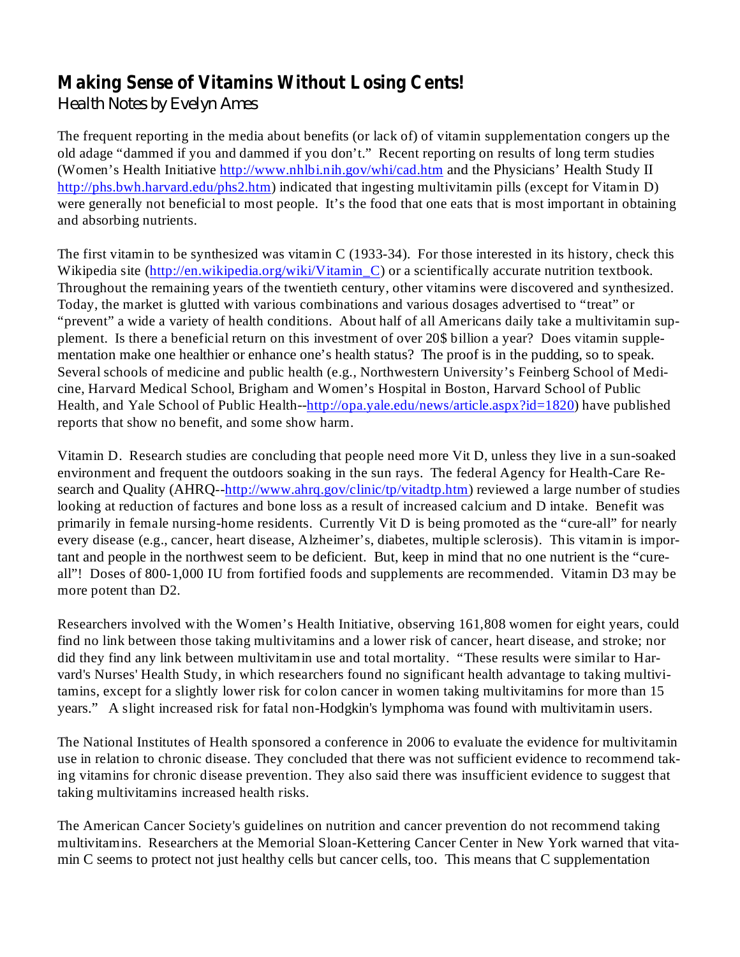### **Making Sense of Vitamins Without Losing Cents!**

*Health Notes by Evelyn Ames*

The frequent reporting in the media about benefits (or lack of) of vitamin supplementation congers up the old adage "dammed if you and dammed if you don't." Recent reporting on results of long term studies (Women's Health Initiative http://www.nhlbi.nih.gov/whi/cad.htm and the Physicians' Health Study II http://phs.bwh.harvard.edu/phs2.htm) indicated that ingesting multivitamin pills (except for Vitamin D) were generally not beneficial to most people. It's the food that one eats that is most important in obtaining and absorbing nutrients.

The first vitamin to be synthesized was vitamin C (1933-34). For those interested in its history, check this Wikipedia site (http://en.wikipedia.org/wiki/Vitamin\_C) or a scientifically accurate nutrition textbook. Throughout the remaining years of the twentieth century, other vitamins were discovered and synthesized. Today, the market is glutted with various combinations and various dosages advertised to "treat" or "prevent" a wide a variety of health conditions. About half of all Americans daily take a multivitamin supplement. Is there a beneficial return on this investment of over 20\$ billion a year? Does vitamin supplementation make one healthier or enhance one's health status? The proof is in the pudding, so to speak. Several schools of medicine and public health (e.g., Northwestern University's Feinberg School of Medicine, Harvard Medical School, Brigham and Women's Hospital in Boston, Harvard School of Public Health, and Yale School of Public Health--http://opa.yale.edu/news/article.aspx?id=1820) have published reports that show no benefit, and some show harm.

Vitamin D. Research studies are concluding that people need more Vit D, unless they live in a sun-soaked environment and frequent the outdoors soaking in the sun rays. The federal Agency for Health-Care Research and Quality (AHRQ--http://www.ahrq.gov/clinic/tp/vitadtp.htm) reviewed a large number of studies looking at reduction of factures and bone loss as a result of increased calcium and D intake. Benefit was primarily in female nursing-home residents. Currently Vit D is being promoted as the "cure-all" for nearly every disease (e.g., cancer, heart disease, Alzheimer's, diabetes, multiple sclerosis). This vitamin is important and people in the northwest seem to be deficient. But, keep in mind that no one nutrient is the "cureall"! Doses of 800-1,000 IU from fortified foods and supplements are recommended. Vitamin D3 may be more potent than D2.

Researchers involved with the Women's Health Initiative, observing 161,808 women for eight years, could find no link between those taking multivitamins and a lower risk of cancer, heart disease, and stroke; nor did they find any link between multivitamin use and total mortality. "These results were similar to Harvard's Nurses' Health Study, in which researchers found no significant health advantage to taking multivitamins, except for a slightly lower risk for colon cancer in women taking multivitamins for more than 15 years." A slight increased risk for fatal non-Hodgkin's lymphoma was found with multivitamin users.

The National Institutes of Health sponsored a conference in 2006 to evaluate the evidence for multivitamin use in relation to chronic disease. They concluded that there was not sufficient evidence to recommend taking vitamins for chronic disease prevention. They also said there was insufficient evidence to suggest that taking multivitamins increased health risks.

The American Cancer Society's guidelines on nutrition and cancer prevention do not recommend taking multivitamins. Researchers at the Memorial Sloan-Kettering Cancer Center in New York warned that vitamin C seems to protect not just healthy cells but cancer cells, too. This means that C supplementation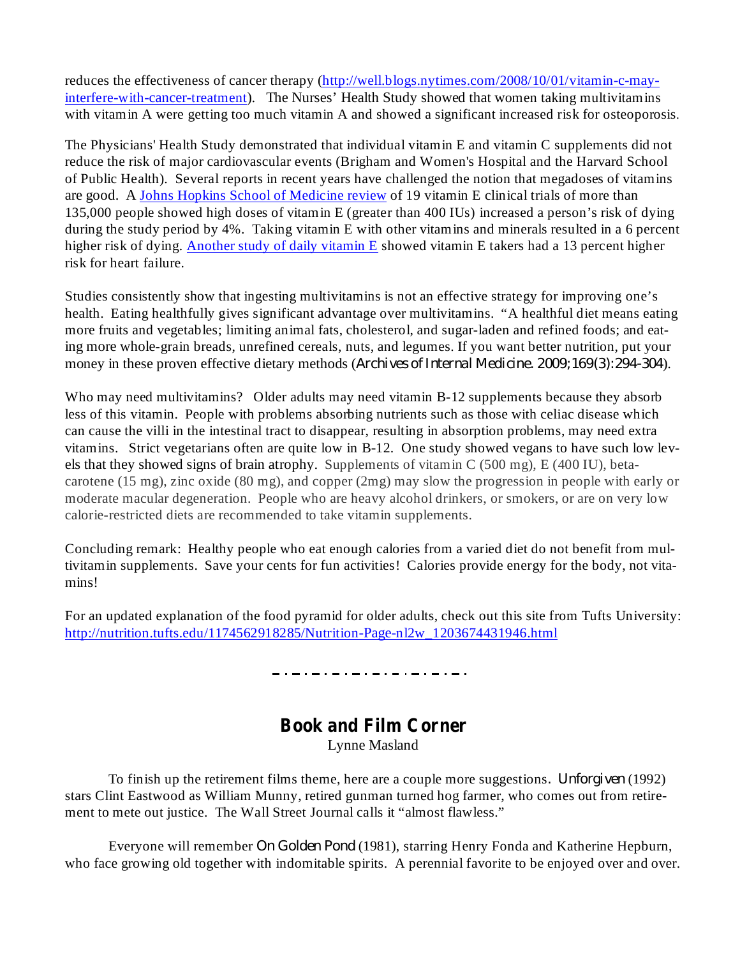reduces the effectiveness of cancer therapy (http://well.blogs.nytimes.com/2008/10/01/vitamin-c-mayinterfere-with-cancer-treatment). The Nurses' Health Study showed that women taking multivitamins with vitamin A were getting too much vitamin A and showed a significant increased risk for osteoporosis.

The Physicians' Health Study demonstrated that individual vitamin E and vitamin C supplements did not reduce the risk of major cardiovascular events (Brigham and Women's Hospital and the Harvard School of Public Health). Several reports in recent years have challenged the notion that megadoses of vitamins are good. A Johns Hopkins School of Medicine review of 19 vitamin E clinical trials of more than 135,000 people showed high doses of vitamin E (greater than 400 IUs) increased a person's risk of dying during the study period by 4%. Taking vitamin E with other vitamins and minerals resulted in a 6 percent higher risk of dying. Another study of daily vitamin E showed vitamin E takers had a 13 percent higher risk for heart failure.

Studies consistently show that ingesting multivitamins is not an effective strategy for improving one's health. Eating healthfully gives significant advantage over multivitamins. "A healthful diet means eating more fruits and vegetables; limiting animal fats, cholesterol, and sugar-laden and refined foods; and eating more whole-grain breads, unrefined cereals, nuts, and legumes. If you want better nutrition, put your money in these proven effective dietary methods (Archives of Internal Medicine. 2009;169(3):294-304).

Who may need multivitamins? Older adults may need vitamin B-12 supplements because they absorb less of this vitamin. People with problems absorbing nutrients such as those with celiac disease which can cause the villi in the intestinal tract to disappear, resulting in absorption problems, may need extra vitamins. Strict vegetarians often are quite low in B-12. One study showed vegans to have such low levels that they showed signs of brain atrophy. Supplements of vitamin C (500 mg), E (400 IU), betacarotene (15 mg), zinc oxide (80 mg), and copper (2mg) may slow the progression in people with early or moderate macular degeneration. People who are heavy alcohol drinkers, or smokers, or are on very low calorie-restricted diets are recommended to take vitamin supplements.

Concluding remark: Healthy people who eat enough calories from a varied diet do not benefit from multivitamin supplements. Save your cents for fun activities! Calories provide energy for the body, not vitamins!

For an updated explanation of the food pyramid for older adults, check out this site from Tufts University: http://nutrition.tufts.edu/1174562918285/Nutrition-Page-nl2w\_1203674431946.html

# **Book and Film Corner**

Lynne Masland

To finish up the retirement films theme, here are a couple more suggestions. *Unforgiven* (1992) stars Clint Eastwood as William Munny, retired gunman turned hog farmer, who comes out from retirement to mete out justice. The Wall Street Journal calls it "almost flawless."

Everyone will remember On Golden Pond (1981), starring Henry Fonda and Katherine Hepburn, who face growing old together with indomitable spirits. A perennial favorite to be enjoyed over and over.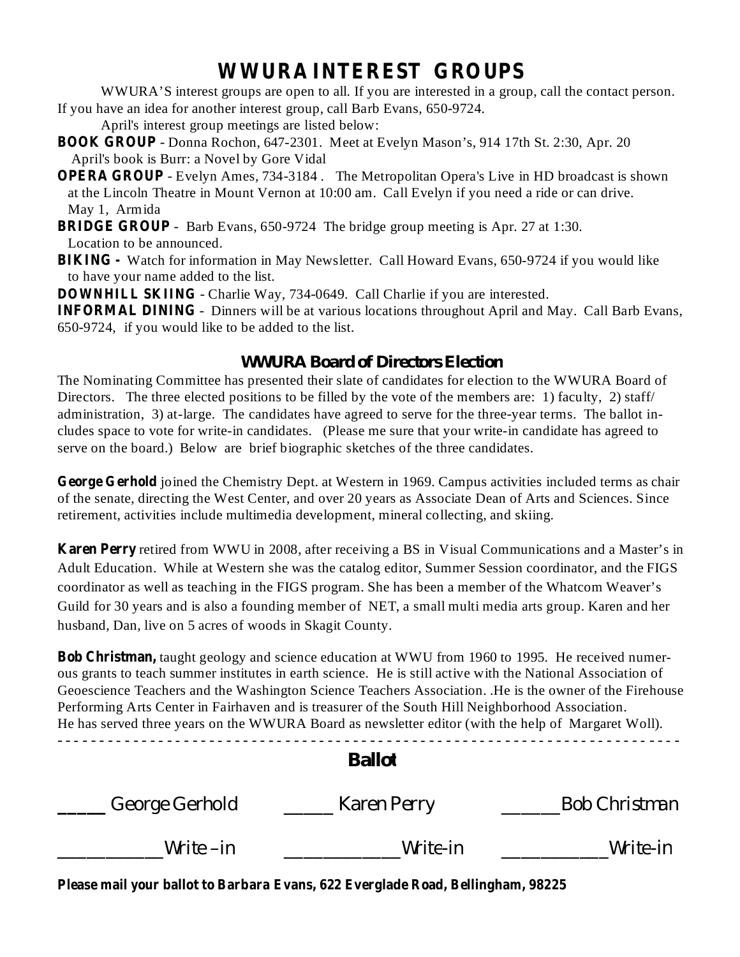## **WWURA INTEREST GROUPS**

WWURA'S interest groups are open to all. If you are interested in a group, call the contact person. If you have an idea for another interest group, call Barb Evans, 650-9724.

April's interest group meetings are listed below:

- **BOOK GROUP** Donna Rochon, 647-2301. Meet at Evelyn Mason's, 914 17th St. 2:30, Apr. 20 April's book is Burr: a Novel by Gore Vidal
- **OPERA GROUP** Evelyn Ames, 734-3184 . The Metropolitan Opera's Live in HD broadcast is shown at the Lincoln Theatre in Mount Vernon at 10:00 am. Call Evelyn if you need a ride or can drive. May 1, Armida
- **BRIDGE GROUP** Barb Evans, 650-9724 The bridge group meeting is Apr. 27 at 1:30. Location to be announced.
- **BIKING -** Watch for information in May Newsletter. Call Howard Evans, 650-9724 if you would like to have your name added to the list.

**DOWNHILL SKIING** - Charlie Way, 734-0649. Call Charlie if you are interested.

**INFORMAL DINING** - Dinners will be at various locations throughout April and May. Call Barb Evans, 650-9724, if you would like to be added to the list.

#### *WWURA Board of Directors Election*

The Nominating Committee has presented their slate of candidates for election to the WWURA Board of Directors. The three elected positions to be filled by the vote of the members are: 1) faculty, 2) staff/ administration, 3) at-large. The candidates have agreed to serve for the three-year terms. The ballot includes space to vote for write-in candidates. (Please me sure that your write-in candidate has agreed to serve on the board.) Below are brief biographic sketches of the three candidates.

George Gerhold joined the Chemistry Dept. at Western in 1969. Campus activities included terms as chair of the senate, directing the West Center, and over 20 years as Associate Dean of Arts and Sciences. Since retirement, activities include multimedia development, mineral collecting, and skiing.

**Karen Perry** retired from WWU in 2008, after receiving a BS in Visual Communications and a Master's in Adult Education. While at Western she was the catalog editor, Summer Session coordinator, and the FIGS coordinator as well as teaching in the FIGS program. She has been a member of the Whatcom Weaver's Guild for 30 years and is also a founding member of NET, a small multi media arts group. Karen and her husband, Dan, live on 5 acres of woods in Skagit County.

**Bob Christman,** taught geology and science education at WWU from 1960 to 1995. He received numerous grants to teach summer institutes in earth science. He is still active with the National Association of Geoescience Teachers and the Washington Science Teachers Association. .He is the owner of the Firehouse Performing Arts Center in Fairhaven and is treasurer of the South Hill Neighborhood Association. He has served three years on the WWURA Board as newsletter editor (with the help of Margaret Woll). *- - - - - - - - - - - - - - - - - - - - - - - - - - - - - - - - - - - - - - - - - - - - - - - - - - - - - - - - - - - - - - - - - - - - - - - - - -*

#### *Ballot*

| George Gerhold | Karen Perry | <b>Bob Christman</b> |
|----------------|-------------|----------------------|
| Write $-in$    | Write-in    | Write-in             |

**Please mail your ballot to Barbara Evans, 622 Everglade Road, Bellingham, 98225**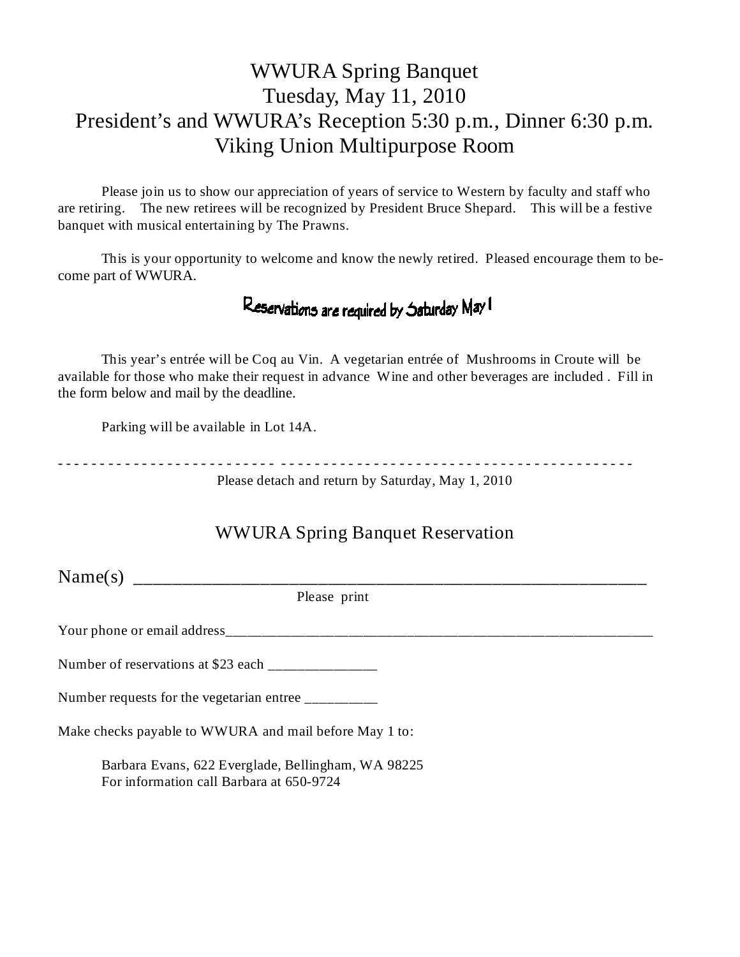## WWURA Spring Banquet Tuesday, May 11, 2010 President's and WWURA's Reception 5:30 p.m., Dinner 6:30 p.m. Viking Union Multipurpose Room

Please join us to show our appreciation of years of service to Western by faculty and staff who are retiring. The new retirees will be recognized by President Bruce Shepard. This will be a festive banquet with musical entertaining by The Prawns.

This is your opportunity to welcome and know the newly retired. Pleased encourage them to become part of WWURA.

## Reservations are required by Saturday May I

This year's entrée will be Coq au Vin. A vegetarian entrée of Mushrooms in Croute will be available for those who make their request in advance Wine and other beverages are included . Fill in the form below and mail by the deadline.

Parking will be available in Lot 14A.

- - - - - - - - - - - - - - - - - - - - - - - - - - - - - - - - - - - - - - - - - - - - - - - - - - - - - - - - - - - - - - - - - - - -

Please detach and return by Saturday, May 1, 2010

# WWURA Spring Banquet Reservation Name(s) \_\_\_\_\_\_\_\_\_\_\_\_\_\_\_\_\_\_\_\_\_\_\_\_\_\_\_\_\_\_\_\_\_\_\_\_\_\_\_\_\_\_\_\_\_\_\_\_\_\_\_\_\_ Please print Your phone or email address Number of reservations at \$23 each \_\_\_\_\_\_\_\_\_\_\_\_\_\_\_ Make checks payable to WWURA and mail before May 1 to: Barbara Evans, 622 Everglade, Bellingham, WA 98225 For information call Barbara at 650-9724

Number requests for the vegetarian entree \_\_\_\_\_\_\_\_\_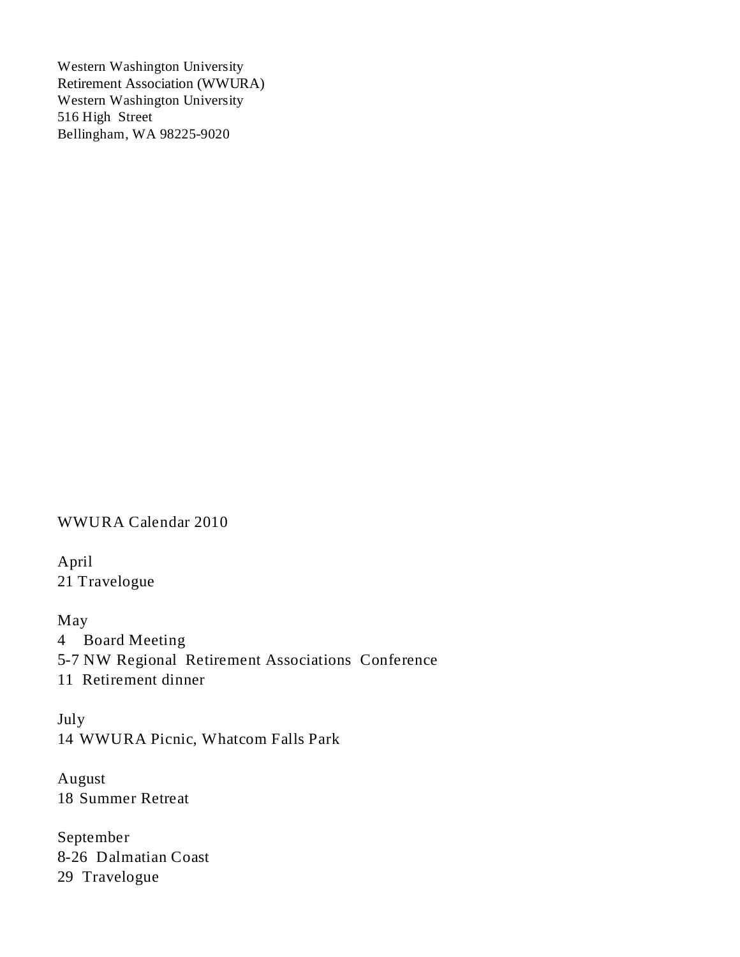Western Washington University Retirement Association (WWURA) Western Washington University 516 High Street Bellingham, WA 98225-9020

WWURA Calendar 2010

April 21 Travelogue

May Board Meeting -7 NW Regional Retirement Associations Conference Retirement dinner

July 14 WWURA Picnic, Whatcom Falls Park

August 18 Summer Retreat

September 8-26 Dalmatian Coast 29 Travelogue